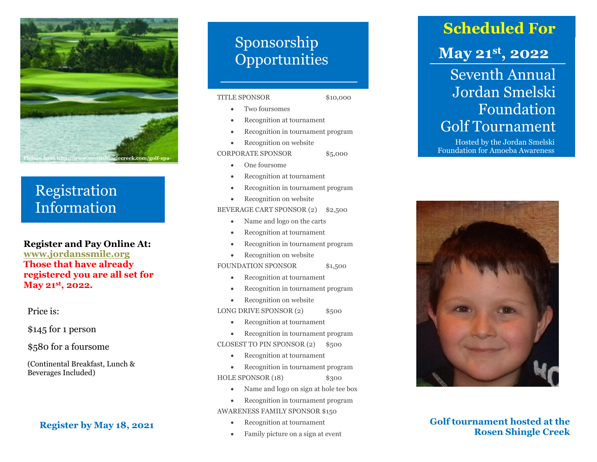

### Registration Information

### **Register and Pay Online At:**

**[www.jordanssmile.org](http://www.jordanssmile.org/) Those that have already registered you are all set for May 21st, 202 2 .**

#### Price is:

\$145 for 1 person

\$580 for a foursome

(Continental Breakfast, Lunch & Beverages Included )

### **Register by May 1 8, 20 2 1**

## Sponsorship **Opportunities**

#### TITLE SPONSOR

\$10,000

- Two foursome s
- Recognition at tournament
- Recognition in tournament program
- Recognition on website
- CORPORATE SPONSOR \$5,000
	- One foursome
	- Recognition at tournament
	- Recognition in tournament program
	- Recognition on website

BEVERAGE CART SPONSOR (2) \$2,500

- Name and logo on the carts
- Recognition at tournament
- Recognition in tournament program
- Recognition on website

FOUNDATION SPONSOR \$1,500

- Recognition at tournament
- Recognition in tournament program
- Recognition on website

LONG DRIVE SPONSOR (2) \$500

- Recognition at tournament
- Recognition in tournament program

CLOSEST TO PIN SPONSOR (2) \$500

- Recognition at tournament
- Recognition in tournament program HOLE SPONSOR (1 8 ) \$300
	- Name and logo on sign at hole tee box
	- Recognition in tournament program
- AWARENESS FAMILY SPONSOR \$150
	- Recognition at tournament
	- Family picture on a sign at event

## **Scheduled For**

## **May 21st , 20 2 2**

Seventh Annual Jordan Smelski Foundation Golf Tournament

Hosted by the Jordan Smelski Foundation for Amoeba Awareness



**Golf tournament hosted at the Rosen Shingle Creek**